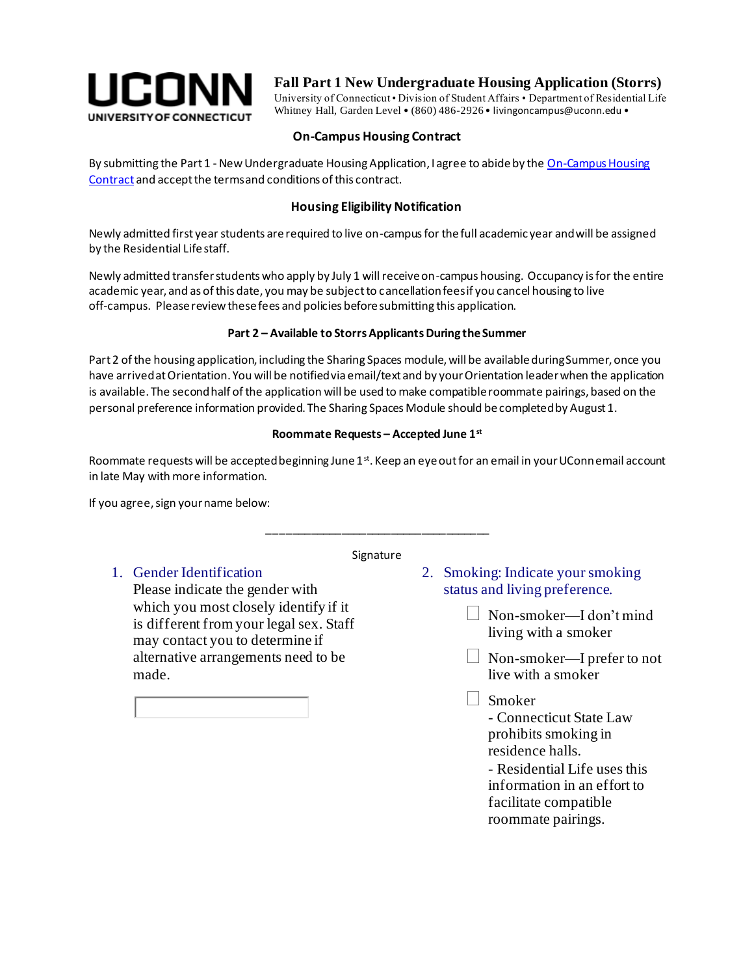

## **Fall Part 1 New Undergraduate Housing Application (Storrs)**

University of Connecticut • Division of Student Affairs • Department of Residential Life Whitney Hall, Garden Level • (860) 486-2926 • livingoncampus@uconn.edu •

#### **On-Campus Housing Contract**

By submitting the Part 1 - New Undergraduate Housing Application, I agree to abide by the On-Campus Housing [Contract](http://www.reslife.uconn.edu/housing-contract-forms/) and accept the terms and conditions of this contract.

### **Housing Eligibility Notification**

Newly admitted first year students are required to live on-campus for the full academic year and will be assigned by the Residential Life staff.

Newly admitted transfer students who apply by July 1 will receive on-campus housing. Occupancy is for the entire academic year, and as of this date, you may be subject to cancellation fees if you cancel housing to live off-campus. Please review these fees and policies before submitting this application.

#### **Part 2 – Available to Storrs Applicants During the Summer**

Part 2 of the housing application, including the Sharing Spaces module, will be available during Summer, once you have arrived at Orientation. You will be notified via email/text and by your Orientation leader when the application is available. The second half of the application will be used to make compatible roommate pairings, based on the personal preference information provided. The Sharing Spaces Module should be completed by August 1.

#### **Roommate Requests – Accepted June 1st**

Roommate requests will be accepted beginning June  $1<sup>st</sup>$ . Keep an eye out for an email in your UConnemail account in late May with more information.

If you agree, sign your name below:

#### **Signature**

\_\_\_\_\_\_\_\_\_\_\_\_\_\_\_\_\_\_\_\_\_\_\_\_\_\_\_\_\_\_\_\_\_\_\_\_

## 1. Gender Identification

Please indicate the gender with which you most closely identify if it is different from your legal sex. Staff may contact you to determine if alternative arrangements need to be made.



- Non-smoker—I don't mind living with a smoker
- $\Box$  Non-smoker—I prefer to not live with a smoker
- Smoker

- Connecticut State Law prohibits smoking in residence halls.

- Residential Life uses this information in an effort to facilitate compatible roommate pairings.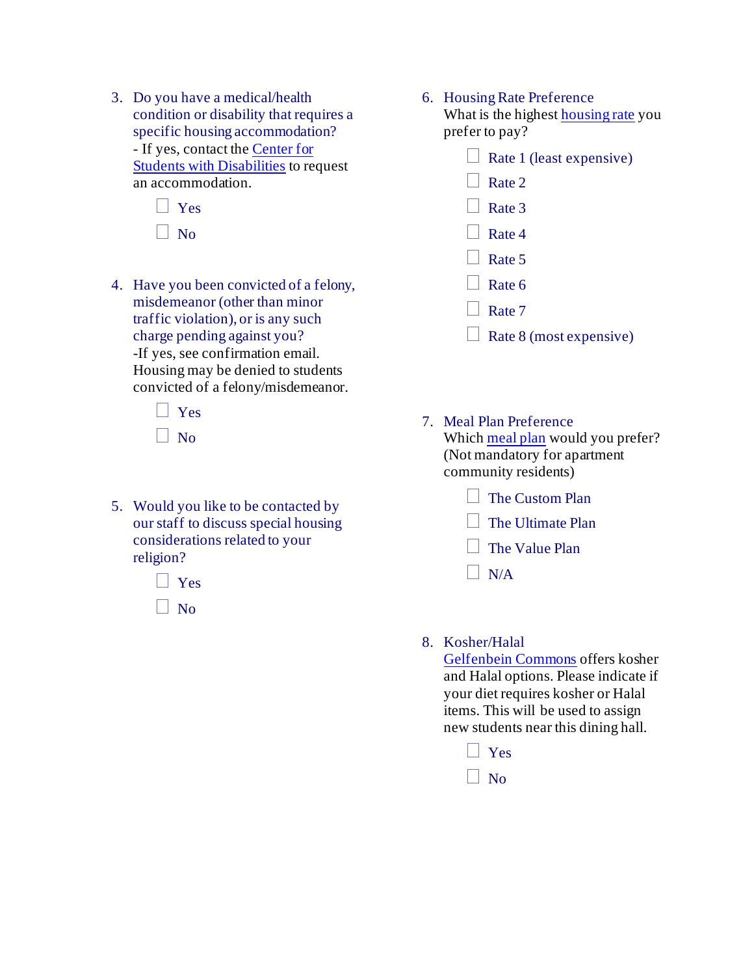3. Do you have a medical/health condition or disability that requires a specific housing accommodation? - If yes, contact th[e Center for](http://csd.uconn.edu/)  [Students with Disabilities](http://csd.uconn.edu/) to request an accommodation.



4. Have you been convicted of a felony, misdemeanor (other than minor traffic violation), or is any such charge pending against you? -If yes, see confirmation email. Housing may be denied to students

convicted of a felony/misdemeanor.

 $| \cdot |$  Yes  $\Box$  No

5. Would you like to be contacted by our staff to discuss special housing considerations related to your religion?



#### 6. Housing Rate Preference

What is the highes[t housing rate](http://reslife.uconn.edu/room-rates/) you prefer to pay?

- $\Box$  Rate 1 (least expensive)
- $\Box$  Rate 2
- $\vert$  Rate 3
- Rate 4
- $\Box$  Rate 5
- $\Box$  Rate 6
- $\Box$  Rate 7
- $\Box$  Rate 8 (most expensive)
- 7. Meal Plan Preference Which [meal plan](http://dining.uconn.edu/meal-plans/) would you prefer? (Not mandatory for apartment community residents)
	- **The Custom Plan**
	- $\Box$  The Ultimate Plan
	- $\Box$  The Value Plan
	- $\Box$  N/A

## 8. Kosher/Halal

[Gelfenbein Commons](http://dining.uconn.edu/locations/) offers kosher and Halal options. Please indicate if your diet requires kosher or Halal items. This will be used to assign new students near this dining hall.

- **N** Yes
- $\overline{\phantom{a}}$  No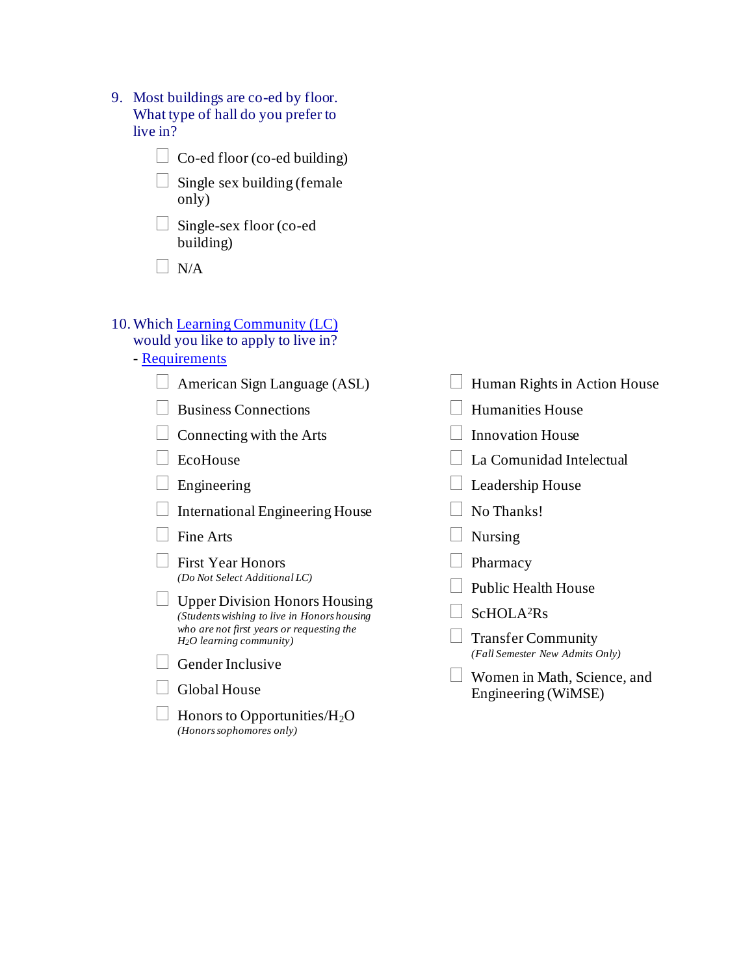9. Most buildings are co-ed by floor. What type of hall do you prefer to live in?

 $\Box$  Co-ed floor (co-ed building)

 $\Box$  Single sex building (female only)

 $\Box$  Single-sex floor (co-ed) building)

 $\Box$  N/A

## 10.Which [Learning Community \(LC\)](http://lc.uconn.edu/)

## would you like to apply to live in?

- [Requirements](http://lc.uconn.edu/)
	- $\Box$  American Sign Language (ASL)
	- Business Connections
	- $\Box$  Connecting with the Arts
	- $\Box$  EcoHouse
	- Engineering

International Engineering House

- $\Box$  Fine Arts
- $\Box$  First Year Honors *(Do Not Select Additional LC)*
- $\Box$  Upper Division Honors Housing *(Students wishing to live in Honors housing who are not first years or requesting the H2O learning community)*
- $\Box$  Gender Inclusive
- $\Box$  Global House
- $\Box$  Honors to Opportunities/H<sub>2</sub>O *(Honors sophomores only)*
- $\Box$  Human Rights in Action House Humanities House Innovation House La Comunidad Intelectual  $\Box$  Leadership House No Thanks!  $\Box$  Nursing  $\Box$  Pharmacy  $\Box$  Public Health House  $\overline{\phantom{a}}$  ScHOLA<sup>2</sup>Rs Transfer Community *(Fall Semester New Admits Only)* Women in Math, Science, and Engineering (WiMSE)